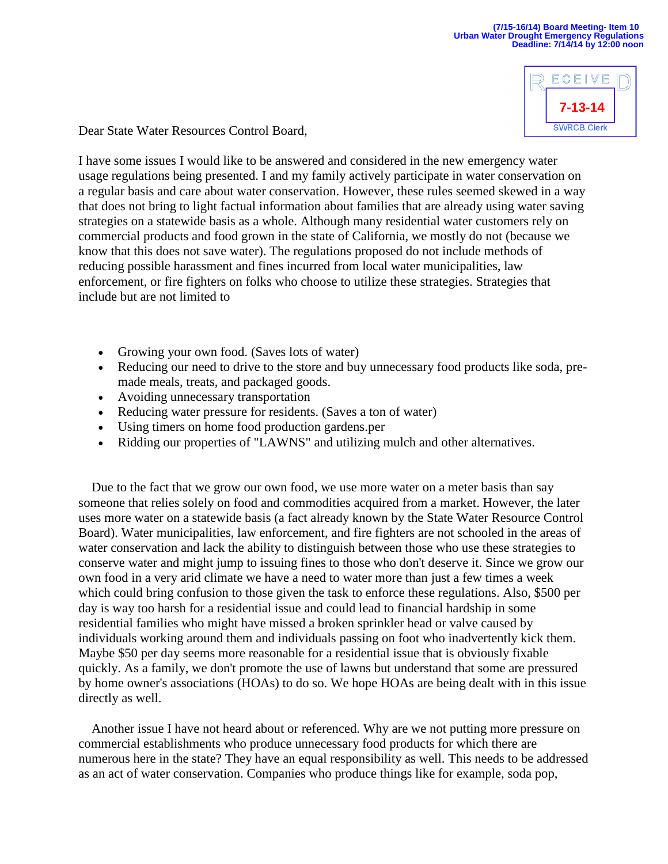ECEIVE **7-13-14SWRCB Clerk** 

Dear State Water Resources Control Board,

I have some issues I would like to be answered and considered in the new emergency water usage regulations being presented. I and my family actively participate in water conservation on a regular basis and care about water conservation. However, these rules seemed skewed in a way that does not bring to light factual information about families that are already using water saving strategies on a statewide basis as a whole. Although many residential water customers rely on commercial products and food grown in the state of California, we mostly do not (because we know that this does not save water). The regulations proposed do not include methods of reducing possible harassment and fines incurred from local water municipalities, law enforcement, or fire fighters on folks who choose to utilize these strategies. Strategies that include but are not limited to

- Growing your own food. (Saves lots of water)
- Reducing our need to drive to the store and buy unnecessary food products like soda, premade meals, treats, and packaged goods.
- Avoiding unnecessary transportation
- Reducing water pressure for residents. (Saves a ton of water)
- Using timers on home food production gardens.per
- Ridding our properties of "LAWNS" and utilizing mulch and other alternatives.

 Due to the fact that we grow our own food, we use more water on a meter basis than say someone that relies solely on food and commodities acquired from a market. However, the later uses more water on a statewide basis (a fact already known by the State Water Resource Control Board). Water municipalities, law enforcement, and fire fighters are not schooled in the areas of water conservation and lack the ability to distinguish between those who use these strategies to conserve water and might jump to issuing fines to those who don't deserve it. Since we grow our own food in a very arid climate we have a need to water more than just a few times a week which could bring confusion to those given the task to enforce these regulations. Also, \$500 per day is way too harsh for a residential issue and could lead to financial hardship in some residential families who might have missed a broken sprinkler head or valve caused by individuals working around them and individuals passing on foot who inadvertently kick them. Maybe \$50 per day seems more reasonable for a residential issue that is obviously fixable quickly. As a family, we don't promote the use of lawns but understand that some are pressured by home owner's associations (HOAs) to do so. We hope HOAs are being dealt with in this issue directly as well.

 Another issue I have not heard about or referenced. Why are we not putting more pressure on commercial establishments who produce unnecessary food products for which there are numerous here in the state? They have an equal responsibility as well. This needs to be addressed as an act of water conservation. Companies who produce things like for example, soda pop,